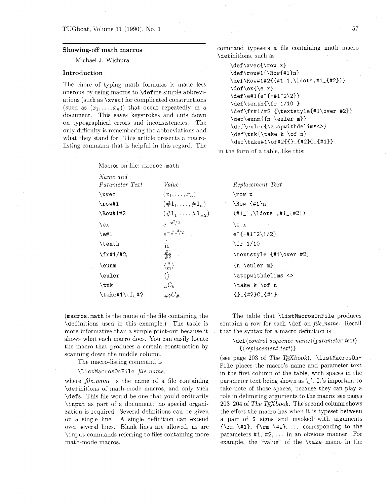#### Showing-off math macros

Michael J. Wichura

### Introduction

The chore of typing math formulas is made less onerous by using macros to \define simple abbreviations (such as \xvec) for complicated constructions (such as  $(x_1, \ldots, x_n)$ ) that occur repeatedly in a document. This saves keystrokes and cuts down on typographical errors and inconsistencies. The only difficulty is remembering the abbreviations and what they stand for. This article presents a macrolisting command that is helpful in this regard. The

Macros on file: macros .math

command typesets a file containing math macro \definitions. such as

```
\def\xvec{\row x) 
\def\row#l{\Row{#l)n) 
\def\Row#1#2~(#l-l,\ldots,#1-{#2~)~ 
\def \ex {\mathcal{}} x\def\left\{e^{+1+1^22\2}\right\}\def\tenth{\fr 1/10 }
\def \f r#1/#2 {\textstyle{#l\over #2)} 
\def\eunm{{n \euler m)) 
\def\euler{\atopwithdelims<>}
\def\tnk{\take k \of n) 
\def \stackrel{\frown}{\text{def}}_{tak} \def \take#1\of#2{{}_{#2}C_{#1}}
```
in the form of a table. like this:

| Name and              |                               |                                                     |
|-----------------------|-------------------------------|-----------------------------------------------------|
| Parameter Text        | Value                         | Replacement Text                                    |
| \xvec                 | $(x_1,\ldots,x_n)$            | $\row x$                                            |
| $\row 1$              | $(\#1_1,\ldots,\#1_n)$        | $\N$ u {#1}n                                        |
| \Row#1#2              | $(\#1_1, \ldots, \#1_{\#2})$  | $(\text{\#1\_1}, \ldots, \text{\#1\_+2})$           |
| \ex                   | $e^{-x^2/2}$                  | \e x                                                |
| $\text{e#1}$          | $e^{-\#1^2/2}$                | $e^{-[-\#1^2/1^2]}$                                 |
| \tenth                | $\frac{1}{10}$                | $\frac{1}{10}$                                      |
| $\frac{+1}{42}$       | $\frac{\#1}{\#2}$             | \textstyle {#1\over #2                              |
| \eunm                 | $\langle \frac{n}{m} \rangle$ | $\{n \neq \text{uler } m\}$                         |
| \euler                | $\langle \rangle$             | \atopwithdelims <>                                  |
| \tnk                  | $nC_k$                        | \take k \of n                                       |
| $\text{take#1\of}_#2$ | ${}_{\#2}C_{\#1}$             | $\{\}$ <sub>-</sub> $\{$ #2}C <sub>-</sub> $\{$ #1} |

(macros. math is the name of the file containing the \definitions used in this example.) The table is more informative than a simple print-out because it shows what each macro does. You can easily locate the macro that produces a certain construction by scanning down the middle column.

The macro-listing command is

#### \ListMacrosOnFile *file-name,*

where *file-name* is the name of a file containing \definitions of math-mode macros. and only such \defs. This file would be one that you'd ordinarily \input as part of a document: no special organization is required. Several definitions can be given on a single line. A single definition can extend over several lines. Blank lines are allowed. as are \input commands referring to files containing more math-mode macros.

The table that \ListMacrosOnFile produces contains a row for each \def on *file-name.* Recall that the syntax for a macro definition is

 $#2$ 

## \def *(control sequence name)(parameter text) {(replacement text)*

(see page 203 of *The TFXbook*). \ListMacrosOn-File places the macro's name and parameter text in the first column of the table, with spaces in the parameter text being shown as  $\cup$ . It's important to take note of those spaces. because they can play a role in delimiting arguments to the macro; see pages 203-204 of *The TFXbook*. The second column shows the effect the macro has when it is typeset between a pair of \$ signs and invoked with arguments  ${\rm \{km \#1\}, \ {\rm \#2\}, \ \ldots \ \text{corresponding to the}$ parameters #I, #2. . . . in an obvious manner. For example. the "value" of the \take macro in the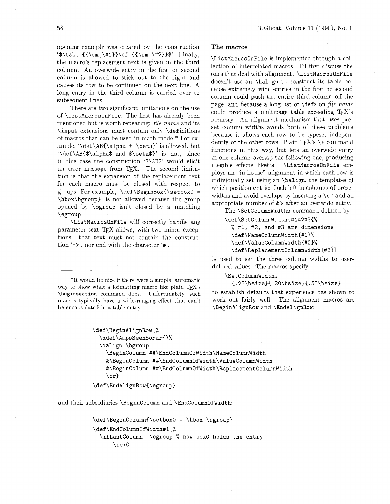opening example was created by the construction '\$\take  ${\rm \star \+1}$ \of  ${\rm \star \+2}$ \$'. Finally, the macro's replacement text is given in the third column. An overwide entry in the first or second column is allowed to stick out to the right and causes its row to be continued on the next line. A long entry in the third column is carried over to subsequent lines.

There are two significant limitations on the use of \ListMacrosOnFile. The first has already been mentioned but is worth repeating: *file-name* and its \input extensions must contain only \definitions of macros that can be used in math mode.\* For example. '\def \AB(\alpha + \beta)' is allowed, but  $\def \AB{\$ \alpha\$  and  $\beta\$ ' is not, since in this case the construction '\$\AB\$' would elicit an error message from TEX. The second limitation is that the expansion of the replacement text for each macro must be closed with respect to groups. For example. '\def \BeginBox(\setboxO = \hbox\bgroup)' is not allowed because the group opened by \bgroup isn't closed by a matching \egroup.

\ListMacrosOnFile will correctly handle any parameter text TFX allows, with two minor exceptions: that text must not contain the construction '->', nor end with the character '#'.

\*It would be nice if there were a simple, automatic way to show what a formatting macro like plain TEX's **\beginsect ion** command does. Unfortunately, such macros typically have a wide-ranging effect that can't be encapsulated in a table entry.

#### **The macros**

\ListMacrosOnFile is implemented through a collection of interrelated macros. I'll first discuss the ones that deal with alignment. \ListMacrosOnFile doesn't use an *\halign* to construct its table because extremely wide entries in the first or second column could push the entire third column off the page. and because a long list of \defs on *file-name*  could produce a multipage table exceeding  $TEX$ 's memory. An alignment mechanism that uses preset column widths avoids both of these problems because it allows each row to be typeset independently of the other rows. Plain T<sub>F</sub>X's  $\$  - command functions in this way, but lets an overwide entry in one column overlap the following one, producing illegible effects likehis. \ListMacrosOnFile employs an "in house'' alignment in which each row is individually set using an \halip, the templates of which position entries flush left in columns of preset widths and avoid overlaps by inserting a  $\csc$  and an appropriate number of &'s after an overwide entry.

The \SetColumnWidths command defined by

**\def\SetColumnWidths#1#2#3C%**  % #I, #2, and #3 are dimensions \def \NameColumnWidth(#l)% **\def\ValueColumnWidth~#2)% \def\ReplacementColumnWidth(#3}}** 

is used to set the three column widths to userdefined values. The macros specify

\SetColumnWidths

 ${(.25\hspace{1.5pt}\hspace{1.5pt}1.20\hspace{1.5pt}\hspace{1.5pt}1.55\hspace{1.5pt}\hspace{1.5pt}1.55\hspace{1.5pt}\hspace{1.5pt}1.55\hspace{1.5pt}\hspace{1.5pt}1.55\hspace{1.5pt}\hspace{1.5pt}1.55\hspace{1.5pt}\hspace{1.5pt}1.55\hspace{1.5pt}\hspace{1.5pt}1.55\hspace{1.5pt}\hspace{1.5pt}1.55\hspace{1.5pt}\hspace{1.5pt}1.55\hspace{1.$ 

to establish defaults that experience has shown to work out fairly well. The alignment macros are \BeginAlignRow and \EndAlignRow:

| \def\BeginAlignRow{%                                     |  |
|----------------------------------------------------------|--|
| \xdef\AmpsSeenSoFar{}%                                   |  |
| \ialign \bgroup                                          |  |
| \BeginColumn ##\EndColumnOfWidth\NameColumnWidth         |  |
| &\BeginColumn ##\EndColumnOfWidth\ValueColumnWidth       |  |
| &\BeginColumn ##\EndColumnOfWidth\ReplacementColumnWidth |  |
| $\cr$                                                    |  |
|                                                          |  |

#### \def\EndAlignRow{\egroup}

and their subsidiaries \Begincolumn and \EndColumnOfWidth:

**\def\BeginColumn(\setboxO** = \hbox \bgroup) **\def\EndColumnOfWidth#l(%**  \ifLastColumn \egroup % now box0 holds the entry \box0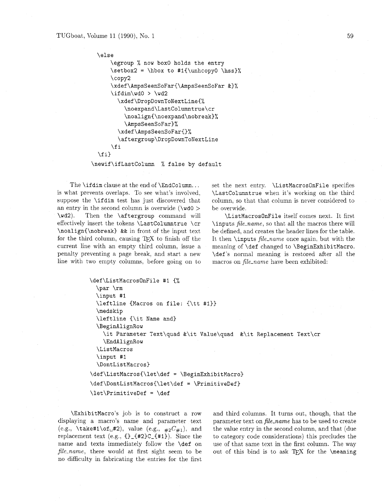```
\else 
    \egroup % now box0 holds the entry 
    \setbox2 = \hbox to #l(\unhcopyO \hss)% 
    \copy2 
    \xdef\AmpsSeenSoFar{\AmpsSeenSoFar &)% 
    \ifdim\wdO > \wd2 
      \xdef\DropDownToNextLine{% 
        \noexpand\LastColumntrue\cr 
        \noalign{\noexpand\nobreak)% 
        \AmpsSeenSoFar)% 
      \xdef\AmpsSeenSoFar{}%
      \aftergroup\DropDownToNextLine 
    \fi 
\f i)
```
**\newif\ifLastColumn** % **false by default** 

The **\ifdim** clause at the end of **\Endcolumn..** . is what prevents overlaps. To see what's involved, suppose the **\ifdim** test has just discovered that an entry in the second column is overwide **(\wdO** > **\wd2).** Then the **\aftergroup** command will effectively insert the tokens **\LastColumntrue \cr \noalign{\nobreak)** && in front of the input text for the third column, causing TEX to finish off the current line with an empty third column, issue a penalty preventing a page break, and start a new line with two empty columns, before going on to set the next entry. **\ListMacrosOnFile** specifies **\LastColumntrue** when it's working on the third column, so that that column is never considered to be overwide.

**\ListMacrosOnFile** itself comes next. It first **\inputs** file-name, so that all the macros there will be defined, and creates the header lines for the table. It then **\inputs** file-name once again, but with the meaning of **\def** changed to **\BeginExhibitMacro. \def's** normal meaning is restored after all the macros on file-name have been exhibited:

```
\def\ListMacrosOnFile #1 {%
  \par \rm
  \input #1
  \leftline (Macros on file: (\tt #I)) 
  \medskip 
  \leftline {\it Name and) 
  \BeginAlignRow 
    \it Parameter Text\quad &\it Value\quad &\it Replacement Text\cr 
    \EndAlignRow 
  \ListMacros 
  \input #1 
  \DontListMacros) 
\def\ListMacros{\let\def = \BeginExhibitMacro}
\def\DontListMacros{\let\def = \PrimitiveDef}
\let\PrimitiveDef = \def
```
**\ExhibitMacro's** job is to construct a row and third columns. It turns out, though, that the displaying a macro's name and parameter text parameter text on file\_name has to be used to create (e.g., **\take#1\of**<sub>u</sub>#2), value (e.g.,  $\#2C\#1$ ), and the value entry in the second column, and that (due replacement text (e.g.. **{)-{#2)C-(#l)).** Since the to category code considerations) this precludes the name and texts immediately follow the **\def** on use of that same text in the first column. The way file\_name, there would at first sight seem to be out of this bind is to ask TEX for the **\meaning** no difficulty in fabricating the entries for the first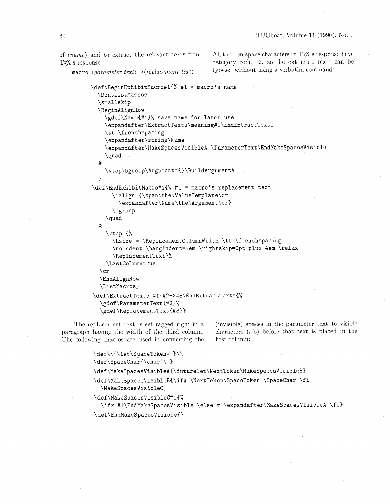TEX's response that the category code 12, so the extracted texts can be

of (name) and to extract the relevant texts from All the non-space characters in TEX's response have macro:  $\langle parameter \text{ text} \rangle \rightarrow \langle replacement \text{ text} \rangle$  typeset without using a verbatim command:

```
\def\BeginExhibitMacro#l{% #1 = macro's name 
  \DontListMacros 
  \smallskip 
  \BeginAlignRow 
    \gdef\Name(#l)% save name for later use 
    \expandafter\ExtractTexts\meming#1\EndExtractTexts 
    \tt \frenchspacing 
    \expandafter\string\Name 
    \expandafter\MakeSpacesVislbleA \ParameterText\EndMakeSpacesVisible 
    \quad 
  & 
    \vtop\bgroup\Argument={]\BuildArgumentA 
   1 
\def\EndExhibitMacro#l{% #1 = macro's replacement text 
      \ialign C\span\the\ValueTemplate\cr 
        \expandafter\Name\the\Argument\cr) 
      \egroup 
    \quad 
  & 
    \vtop C% 
      \hsize = \ReplacementColumnWidth \tt \frenchspacing 
      \noindent \hangindent=lem \rightskip=Opt plus 4em \relax 
      \ReplacementText)% 
    \Lastcolumntrue 
  \cr 
  \EndAlignRow 
  \ListMacros) 
\def\ExtractTexts #l:#2->#3\EndExtractTexts{% 
  \gdef \ParameterText{#23% 
  \gdef\ReplacementText{#3))
```
paragraph having the width of the third column. characters  $(u's)$  before that text is placed in the The following macros are used in converting the first column:

The replacement text is set ragged right in a (invisible) spaces in the parameter text to visible

```
\def\\{\let\SpaceToken= }\\
\def\SpaceChar{\char'\ }
\def\MakeSpacesVisibleA{\futurelet\NextToken\MakeSpacesVisibleB}
\def\MakeSpacesVisibleB{\ifx \NextToken\SpaceToken \SpaceChar \fi
  \MakeSpacesVisibleC}
\def\MakeSpacesVisibleC#1{%
  \ifx #1\EndMakeSpacesVisible \else #1\expandafter\MakeSpacesVisibleA \fi}
\def\EndMakeSpacesVisible{}
```